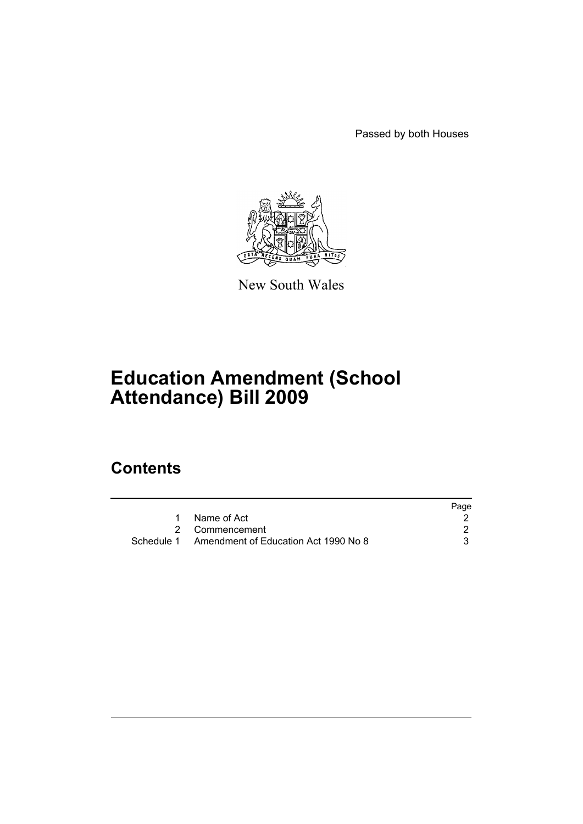Passed by both Houses



New South Wales

# **Education Amendment (School Attendance) Bill 2009**

# **Contents**

|                                                 | Page |
|-------------------------------------------------|------|
| Name of Act                                     |      |
| 2 Commencement                                  |      |
| Schedule 1 Amendment of Education Act 1990 No 8 |      |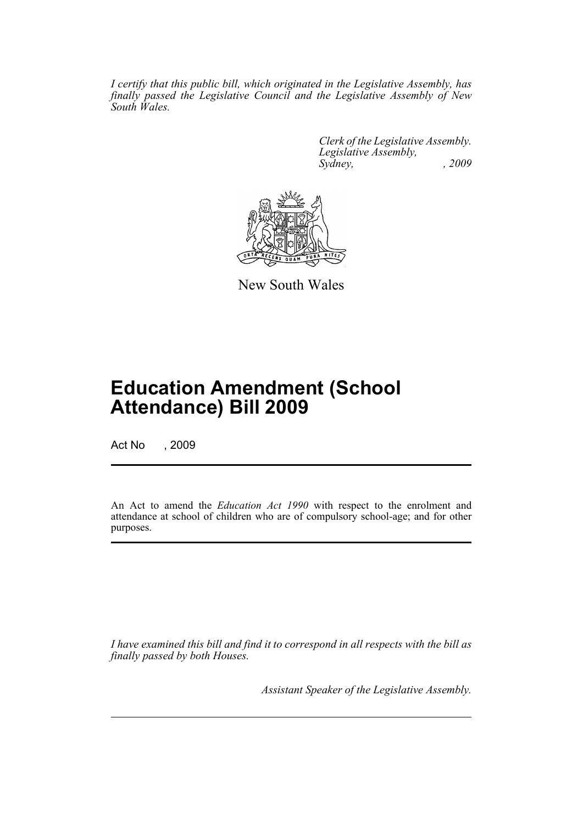*I certify that this public bill, which originated in the Legislative Assembly, has finally passed the Legislative Council and the Legislative Assembly of New South Wales.*

> *Clerk of the Legislative Assembly. Legislative Assembly, Sydney, , 2009*



New South Wales

# **Education Amendment (School Attendance) Bill 2009**

Act No , 2009

An Act to amend the *Education Act 1990* with respect to the enrolment and attendance at school of children who are of compulsory school-age; and for other purposes.

*I have examined this bill and find it to correspond in all respects with the bill as finally passed by both Houses.*

*Assistant Speaker of the Legislative Assembly.*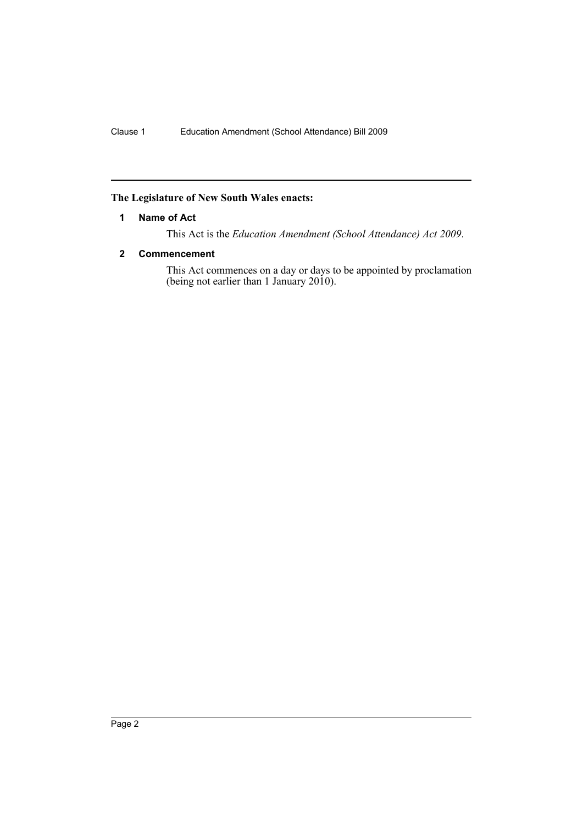# <span id="page-2-0"></span>**The Legislature of New South Wales enacts:**

#### **1 Name of Act**

This Act is the *Education Amendment (School Attendance) Act 2009*.

# <span id="page-2-1"></span>**2 Commencement**

This Act commences on a day or days to be appointed by proclamation (being not earlier than 1 January 2010).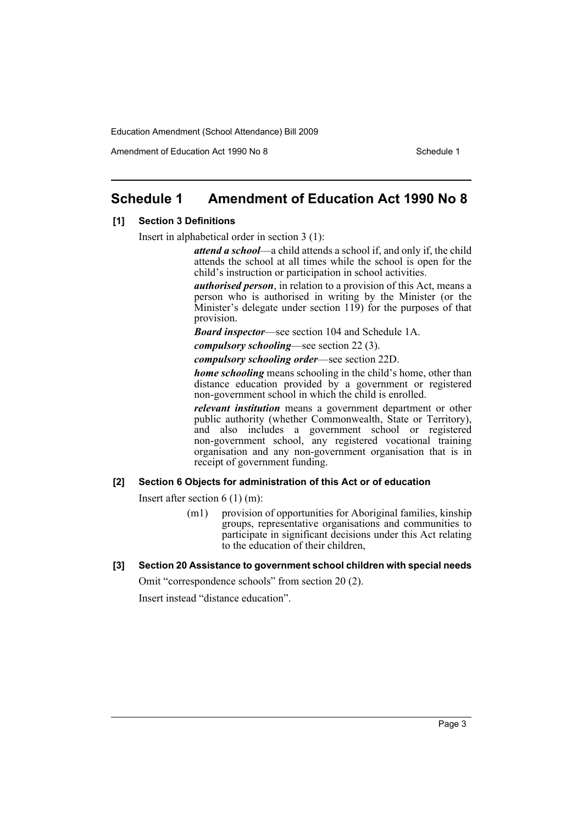Amendment of Education Act 1990 No 8 Schedule 1

# <span id="page-3-0"></span>**Schedule 1 Amendment of Education Act 1990 No 8**

#### **[1] Section 3 Definitions**

Insert in alphabetical order in section 3 (1):

*attend a school*—a child attends a school if, and only if, the child attends the school at all times while the school is open for the child's instruction or participation in school activities.

*authorised person*, in relation to a provision of this Act, means a person who is authorised in writing by the Minister (or the Minister's delegate under section 119) for the purposes of that provision.

*Board inspector*—see section 104 and Schedule 1A.

*compulsory schooling*—see section 22 (3).

*compulsory schooling order*—see section 22D.

*home schooling* means schooling in the child's home, other than distance education provided by a government or registered non-government school in which the child is enrolled.

*relevant institution* means a government department or other public authority (whether Commonwealth, State or Territory), and also includes a government school or registered non-government school, any registered vocational training organisation and any non-government organisation that is in receipt of government funding.

#### **[2] Section 6 Objects for administration of this Act or of education**

Insert after section 6 (1) (m):

- (m1) provision of opportunities for Aboriginal families, kinship groups, representative organisations and communities to participate in significant decisions under this Act relating to the education of their children,
- **[3] Section 20 Assistance to government school children with special needs**

Omit "correspondence schools" from section 20 (2).

Insert instead "distance education".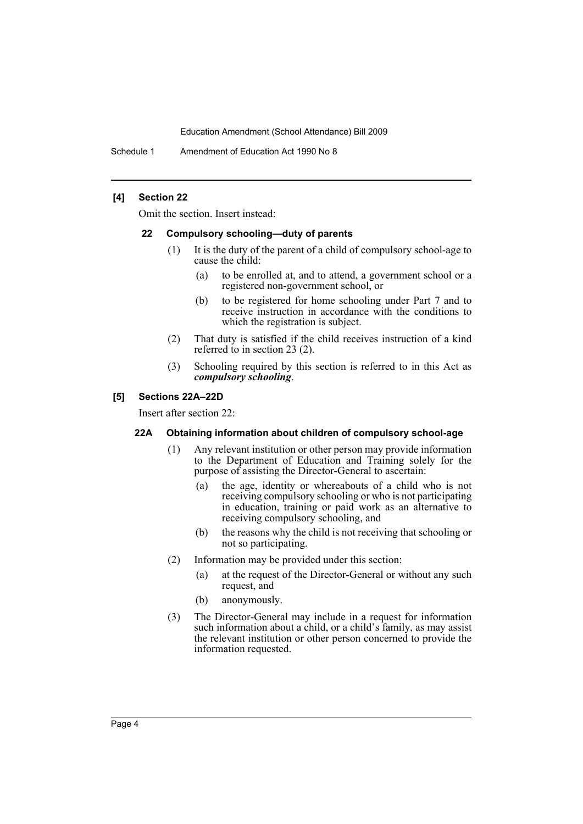Schedule 1 Amendment of Education Act 1990 No 8

#### **[4] Section 22**

Omit the section. Insert instead:

#### **22 Compulsory schooling—duty of parents**

- (1) It is the duty of the parent of a child of compulsory school-age to cause the child:
	- (a) to be enrolled at, and to attend, a government school or a registered non-government school, or
	- (b) to be registered for home schooling under Part 7 and to receive instruction in accordance with the conditions to which the registration is subject.
- (2) That duty is satisfied if the child receives instruction of a kind referred to in section 23 (2).
- (3) Schooling required by this section is referred to in this Act as *compulsory schooling*.

#### **[5] Sections 22A–22D**

Insert after section 22:

#### **22A Obtaining information about children of compulsory school-age**

- (1) Any relevant institution or other person may provide information to the Department of Education and Training solely for the purpose of assisting the Director-General to ascertain:
	- (a) the age, identity or whereabouts of a child who is not receiving compulsory schooling or who is not participating in education, training or paid work as an alternative to receiving compulsory schooling, and
	- (b) the reasons why the child is not receiving that schooling or not so participating.
- (2) Information may be provided under this section:
	- (a) at the request of the Director-General or without any such request, and
	- (b) anonymously.
- (3) The Director-General may include in a request for information such information about a child, or a child's family, as may assist the relevant institution or other person concerned to provide the information requested.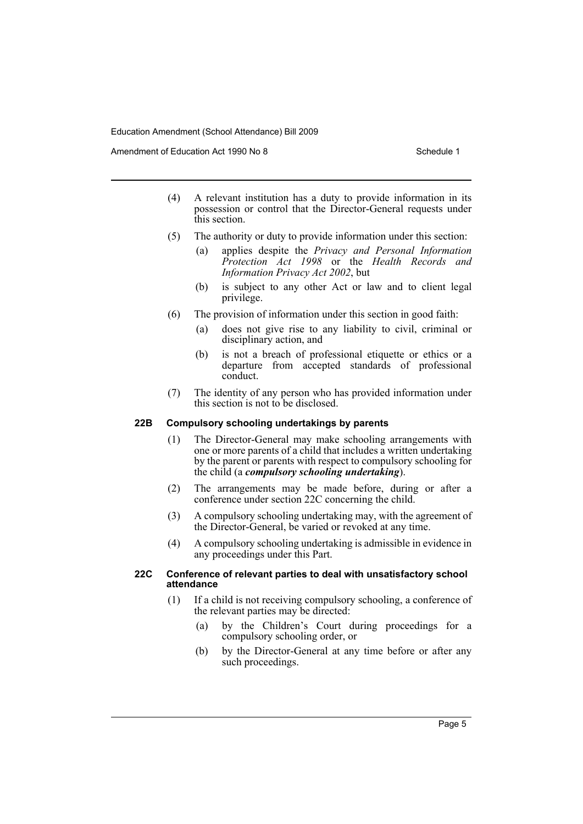Amendment of Education Act 1990 No 8 Schedule 1

- (4) A relevant institution has a duty to provide information in its possession or control that the Director-General requests under this section.
- (5) The authority or duty to provide information under this section:
	- (a) applies despite the *Privacy and Personal Information Protection Act 1998* or the *Health Records and Information Privacy Act 2002*, but
	- (b) is subject to any other Act or law and to client legal privilege.
- (6) The provision of information under this section in good faith:
	- (a) does not give rise to any liability to civil, criminal or disciplinary action, and
	- (b) is not a breach of professional etiquette or ethics or a departure from accepted standards of professional conduct.
- (7) The identity of any person who has provided information under this section is not to be disclosed.

# **22B Compulsory schooling undertakings by parents**

- (1) The Director-General may make schooling arrangements with one or more parents of a child that includes a written undertaking by the parent or parents with respect to compulsory schooling for the child (a *compulsory schooling undertaking*).
- (2) The arrangements may be made before, during or after a conference under section 22C concerning the child.
- (3) A compulsory schooling undertaking may, with the agreement of the Director-General, be varied or revoked at any time.
- (4) A compulsory schooling undertaking is admissible in evidence in any proceedings under this Part.

#### **22C Conference of relevant parties to deal with unsatisfactory school attendance**

- (1) If a child is not receiving compulsory schooling, a conference of the relevant parties may be directed:
	- (a) by the Children's Court during proceedings for a compulsory schooling order, or
	- (b) by the Director-General at any time before or after any such proceedings.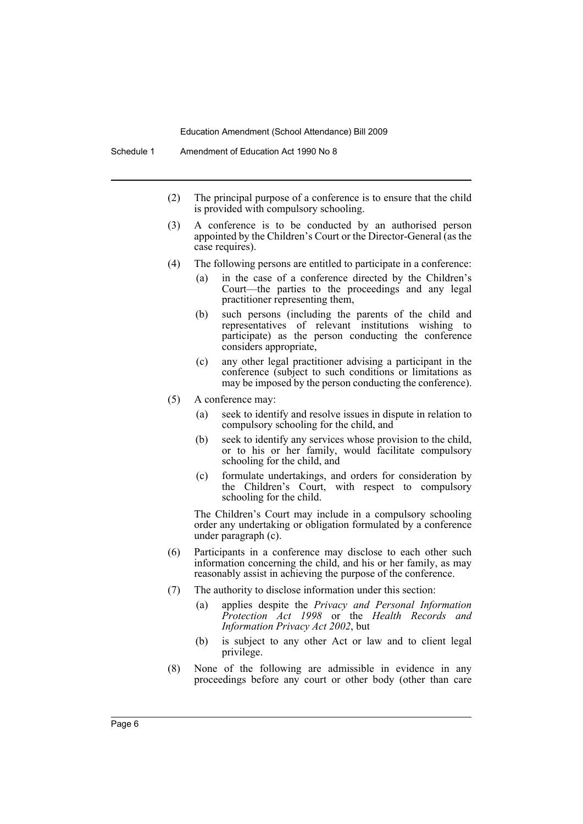- (2) The principal purpose of a conference is to ensure that the child is provided with compulsory schooling.
- (3) A conference is to be conducted by an authorised person appointed by the Children's Court or the Director-General (as the case requires).
- (4) The following persons are entitled to participate in a conference:
	- (a) in the case of a conference directed by the Children's Court—the parties to the proceedings and any legal practitioner representing them,
	- (b) such persons (including the parents of the child and representatives of relevant institutions wishing to participate) as the person conducting the conference considers appropriate,
	- (c) any other legal practitioner advising a participant in the conference (subject to such conditions or limitations as may be imposed by the person conducting the conference).
- (5) A conference may:
	- (a) seek to identify and resolve issues in dispute in relation to compulsory schooling for the child, and
	- (b) seek to identify any services whose provision to the child, or to his or her family, would facilitate compulsory schooling for the child, and
	- (c) formulate undertakings, and orders for consideration by the Children's Court, with respect to compulsory schooling for the child.

The Children's Court may include in a compulsory schooling order any undertaking or obligation formulated by a conference under paragraph (c).

- (6) Participants in a conference may disclose to each other such information concerning the child, and his or her family, as may reasonably assist in achieving the purpose of the conference.
- (7) The authority to disclose information under this section:
	- (a) applies despite the *Privacy and Personal Information Protection Act 1998* or the *Health Records and Information Privacy Act 2002*, but
	- (b) is subject to any other Act or law and to client legal privilege.
- (8) None of the following are admissible in evidence in any proceedings before any court or other body (other than care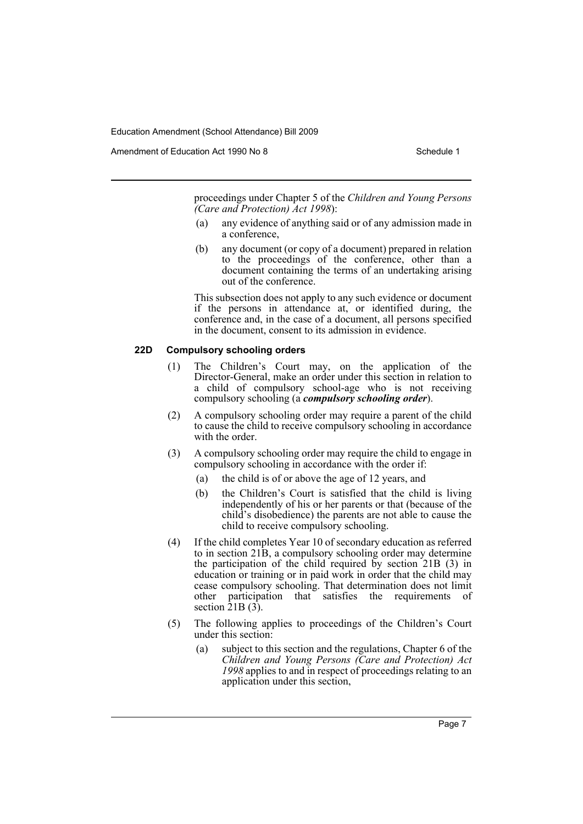Amendment of Education Act 1990 No 8 Schedule 1

proceedings under Chapter 5 of the *Children and Young Persons (Care and Protection) Act 1998*):

- (a) any evidence of anything said or of any admission made in a conference,
- (b) any document (or copy of a document) prepared in relation to the proceedings of the conference, other than a document containing the terms of an undertaking arising out of the conference.

This subsection does not apply to any such evidence or document if the persons in attendance at, or identified during, the conference and, in the case of a document, all persons specified in the document, consent to its admission in evidence.

#### **22D Compulsory schooling orders**

- (1) The Children's Court may, on the application of the Director-General, make an order under this section in relation to a child of compulsory school-age who is not receiving compulsory schooling (a *compulsory schooling order*).
- (2) A compulsory schooling order may require a parent of the child to cause the child to receive compulsory schooling in accordance with the order.
- (3) A compulsory schooling order may require the child to engage in compulsory schooling in accordance with the order if:
	- (a) the child is of or above the age of 12 years, and
	- (b) the Children's Court is satisfied that the child is living independently of his or her parents or that (because of the child's disobedience) the parents are not able to cause the child to receive compulsory schooling.
- (4) If the child completes Year 10 of secondary education as referred to in section 21B, a compulsory schooling order may determine the participation of the child required by section 21B (3) in education or training or in paid work in order that the child may cease compulsory schooling. That determination does not limit other participation that satisfies the requirements of section  $\hat{2}$ 1B  $(\hat{3})$ .
- (5) The following applies to proceedings of the Children's Court under this section:
	- (a) subject to this section and the regulations, Chapter 6 of the *Children and Young Persons (Care and Protection) Act 1998* applies to and in respect of proceedings relating to an application under this section,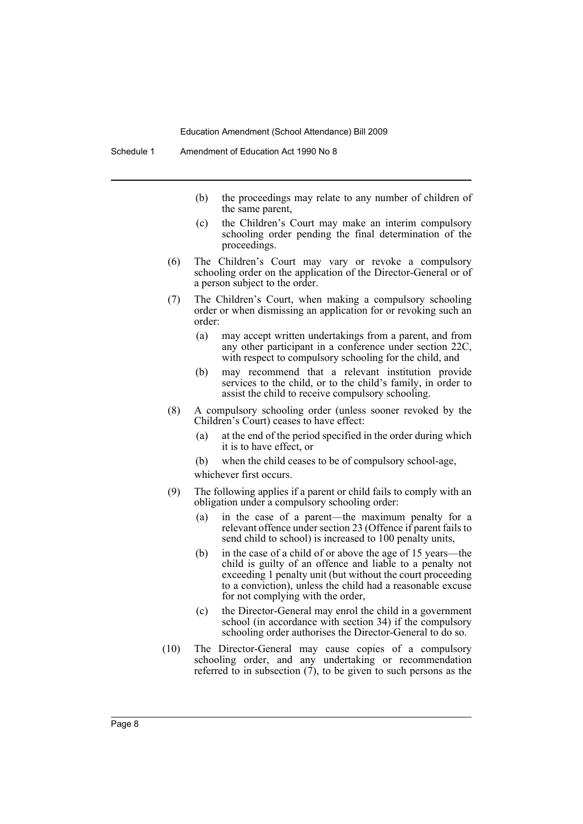- (b) the proceedings may relate to any number of children of the same parent,
- (c) the Children's Court may make an interim compulsory schooling order pending the final determination of the proceedings.
- (6) The Children's Court may vary or revoke a compulsory schooling order on the application of the Director-General or of a person subject to the order.
- (7) The Children's Court, when making a compulsory schooling order or when dismissing an application for or revoking such an order:
	- (a) may accept written undertakings from a parent, and from any other participant in a conference under section 22C, with respect to compulsory schooling for the child, and
	- (b) may recommend that a relevant institution provide services to the child, or to the child's family, in order to assist the child to receive compulsory schooling.
- (8) A compulsory schooling order (unless sooner revoked by the Children's Court) ceases to have effect:
	- (a) at the end of the period specified in the order during which it is to have effect, or
	- (b) when the child ceases to be of compulsory school-age,

whichever first occurs.

- (9) The following applies if a parent or child fails to comply with an obligation under a compulsory schooling order:
	- (a) in the case of a parent—the maximum penalty for a relevant offence under section 23 (Offence if parent fails to send child to school) is increased to 100 penalty units,
	- (b) in the case of a child of or above the age of 15 years—the child is guilty of an offence and liable to a penalty not exceeding 1 penalty unit (but without the court proceeding to a conviction), unless the child had a reasonable excuse for not complying with the order,
	- (c) the Director-General may enrol the child in a government school (in accordance with section 34) if the compulsory schooling order authorises the Director-General to do so.
- (10) The Director-General may cause copies of a compulsory schooling order, and any undertaking or recommendation referred to in subsection  $(7)$ , to be given to such persons as the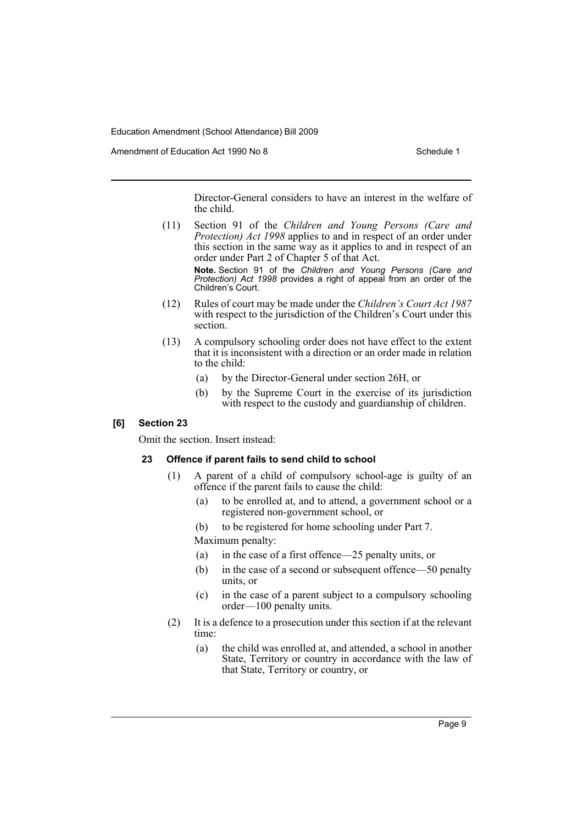Amendment of Education Act 1990 No 8 Schedule 1

Director-General considers to have an interest in the welfare of the child.

(11) Section 91 of the *Children and Young Persons (Care and Protection) Act 1998* applies to and in respect of an order under this section in the same way as it applies to and in respect of an order under Part 2 of Chapter 5 of that Act.

> **Note.** Section 91 of the *Children and Young Persons (Care and Protection) Act 1998* provides a right of appeal from an order of the Children's Court.

- (12) Rules of court may be made under the *Children's Court Act 1987* with respect to the jurisdiction of the Children's Court under this section.
- (13) A compulsory schooling order does not have effect to the extent that it is inconsistent with a direction or an order made in relation to the child:
	- (a) by the Director-General under section 26H, or
	- (b) by the Supreme Court in the exercise of its jurisdiction with respect to the custody and guardianship of children.

#### **[6] Section 23**

Omit the section. Insert instead:

#### **23 Offence if parent fails to send child to school**

- (1) A parent of a child of compulsory school-age is guilty of an offence if the parent fails to cause the child:
	- (a) to be enrolled at, and to attend, a government school or a registered non-government school, or
	- (b) to be registered for home schooling under Part 7. Maximum penalty:
	- (a) in the case of a first offence—25 penalty units, or
	- (b) in the case of a second or subsequent offence—50 penalty units, or
	- (c) in the case of a parent subject to a compulsory schooling order—100 penalty units.
- (2) It is a defence to a prosecution under this section if at the relevant time:
	- (a) the child was enrolled at, and attended, a school in another State, Territory or country in accordance with the law of that State, Territory or country, or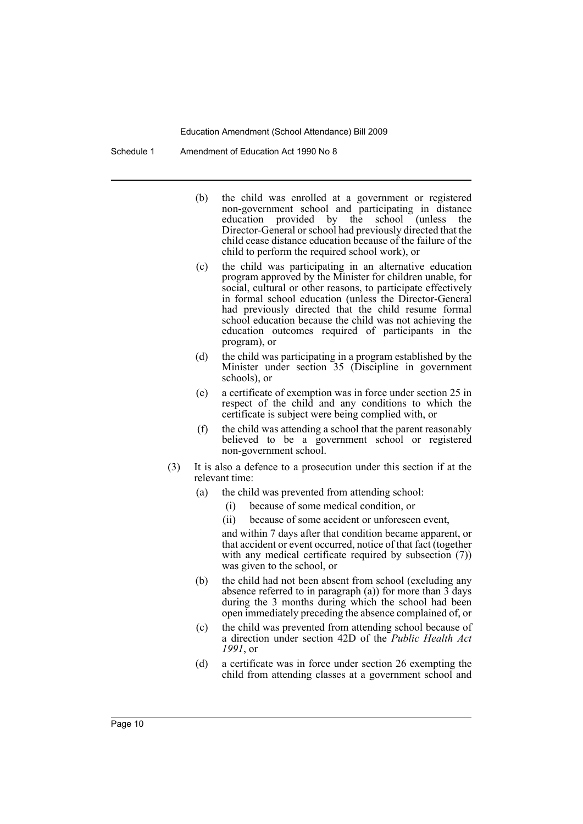Schedule 1 Amendment of Education Act 1990 No 8

- (b) the child was enrolled at a government or registered non-government school and participating in distance education provided by the school (unless the Director-General or school had previously directed that the child cease distance education because of the failure of the child to perform the required school work), or
- (c) the child was participating in an alternative education program approved by the Minister for children unable, for social, cultural or other reasons, to participate effectively in formal school education (unless the Director-General had previously directed that the child resume formal school education because the child was not achieving the education outcomes required of participants in the program), or
- (d) the child was participating in a program established by the Minister under section 35 (Discipline in government schools), or
- (e) a certificate of exemption was in force under section 25 in respect of the child and any conditions to which the certificate is subject were being complied with, or
- (f) the child was attending a school that the parent reasonably believed to be a government school or registered non-government school.
- (3) It is also a defence to a prosecution under this section if at the relevant time:
	- (a) the child was prevented from attending school:
		- (i) because of some medical condition, or
		- (ii) because of some accident or unforeseen event,

and within 7 days after that condition became apparent, or that accident or event occurred, notice of that fact (together with any medical certificate required by subsection (7)) was given to the school, or

- (b) the child had not been absent from school (excluding any absence referred to in paragraph (a)) for more than 3 days during the 3 months during which the school had been open immediately preceding the absence complained of, or
- (c) the child was prevented from attending school because of a direction under section 42D of the *Public Health Act 1991*, or
- (d) a certificate was in force under section 26 exempting the child from attending classes at a government school and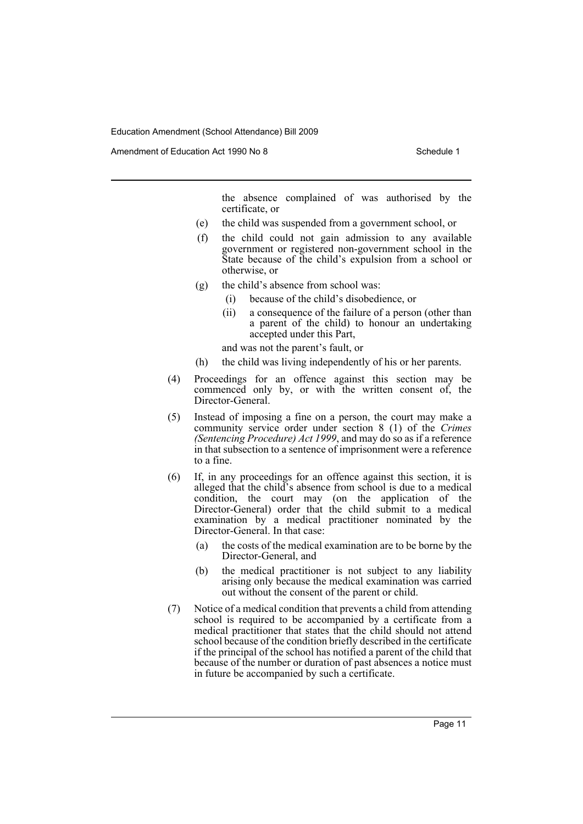Amendment of Education Act 1990 No 8 Schedule 1

the absence complained of was authorised by the certificate, or

- (e) the child was suspended from a government school, or
- (f) the child could not gain admission to any available government or registered non-government school in the State because of the child's expulsion from a school or otherwise, or
- (g) the child's absence from school was:
	- (i) because of the child's disobedience, or
	- (ii) a consequence of the failure of a person (other than a parent of the child) to honour an undertaking accepted under this Part,

and was not the parent's fault, or

- (h) the child was living independently of his or her parents.
- (4) Proceedings for an offence against this section may be commenced only by, or with the written consent of, the Director-General.
- (5) Instead of imposing a fine on a person, the court may make a community service order under section 8 (1) of the *Crimes (Sentencing Procedure) Act 1999*, and may do so as if a reference in that subsection to a sentence of imprisonment were a reference to a fine.
- (6) If, in any proceedings for an offence against this section, it is alleged that the child's absence from school is due to a medical condition, the court may (on the application of the Director-General) order that the child submit to a medical examination by a medical practitioner nominated by the Director-General. In that case:
	- (a) the costs of the medical examination are to be borne by the Director-General, and
	- (b) the medical practitioner is not subject to any liability arising only because the medical examination was carried out without the consent of the parent or child.
- (7) Notice of a medical condition that prevents a child from attending school is required to be accompanied by a certificate from a medical practitioner that states that the child should not attend school because of the condition briefly described in the certificate if the principal of the school has notified a parent of the child that because of the number or duration of past absences a notice must in future be accompanied by such a certificate.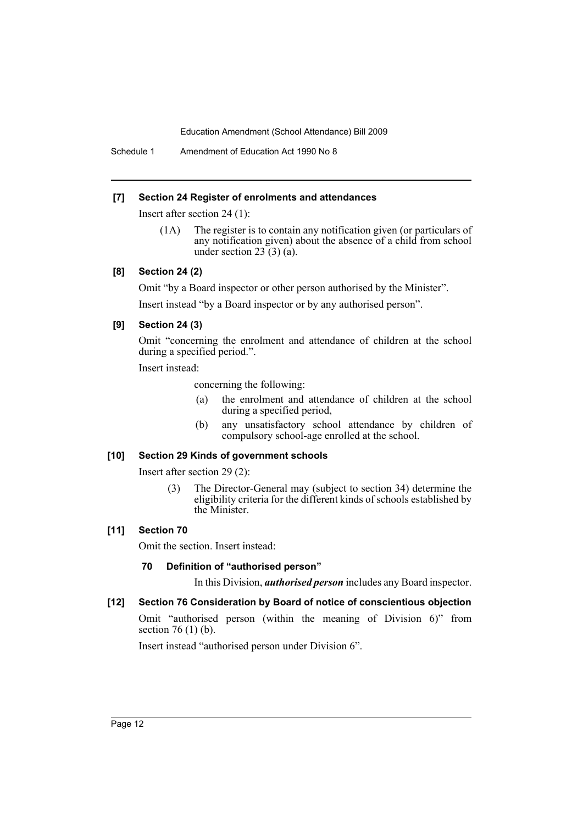Schedule 1 Amendment of Education Act 1990 No 8

#### **[7] Section 24 Register of enrolments and attendances**

Insert after section 24 (1):

(1A) The register is to contain any notification given (or particulars of any notification given) about the absence of a child from school under section  $23(3)(a)$ .

# **[8] Section 24 (2)**

Omit "by a Board inspector or other person authorised by the Minister".

Insert instead "by a Board inspector or by any authorised person".

# **[9] Section 24 (3)**

Omit "concerning the enrolment and attendance of children at the school during a specified period.".

Insert instead:

concerning the following:

- (a) the enrolment and attendance of children at the school during a specified period,
- (b) any unsatisfactory school attendance by children of compulsory school-age enrolled at the school.

# **[10] Section 29 Kinds of government schools**

Insert after section 29 (2):

(3) The Director-General may (subject to section 34) determine the eligibility criteria for the different kinds of schools established by the Minister.

# **[11] Section 70**

Omit the section. Insert instead:

# **70 Definition of "authorised person"**

In this Division, *authorised person* includes any Board inspector.

# **[12] Section 76 Consideration by Board of notice of conscientious objection**

Omit "authorised person (within the meaning of Division 6)" from section 76 (1) (b).

Insert instead "authorised person under Division 6".